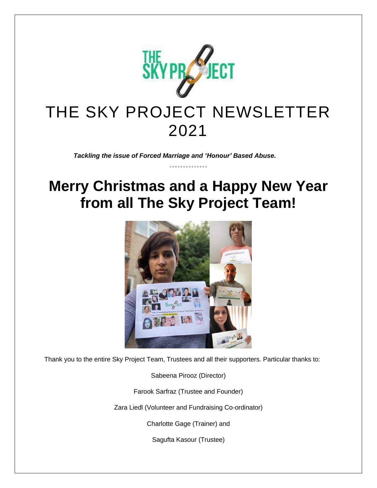

## THE SKY PROJECT NEWSLETTER 2021

*Tackling the issue of Forced Marriage and 'Honour' Based Abuse.*

## **Merry Christmas and a Happy New Year from all The Sky Project Team!**



Thank you to the entire Sky Project Team, Trustees and all their supporters. Particular thanks to:

Sabeena Pirooz (Director)

Farook Sarfraz (Trustee and Founder)

Zara Liedl (Volunteer and Fundraising Co-ordinator)

Charlotte Gage (Trainer) and

Sagufta Kasour (Trustee)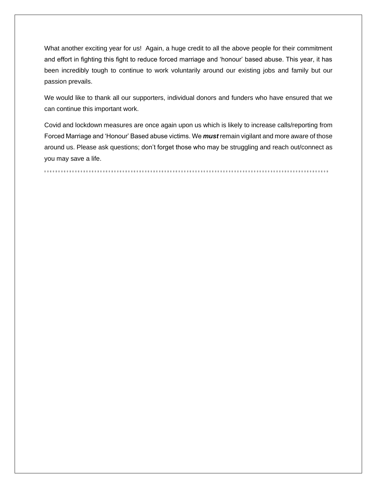What another exciting year for us! Again, a huge credit to all the above people for their commitment and effort in fighting this fight to reduce forced marriage and 'honour' based abuse. This year, it has been incredibly tough to continue to work voluntarily around our existing jobs and family but our passion prevails.

We would like to thank all our supporters, individual donors and funders who have ensured that we can continue this important work.

Covid and lockdown measures are once again upon us which is likely to increase calls/reporting from Forced Marriage and 'Honour' Based abuse victims. We *must* remain vigilant and more aware of those around us. Please ask questions; don't forget those who may be struggling and reach out/connect as you may save a life.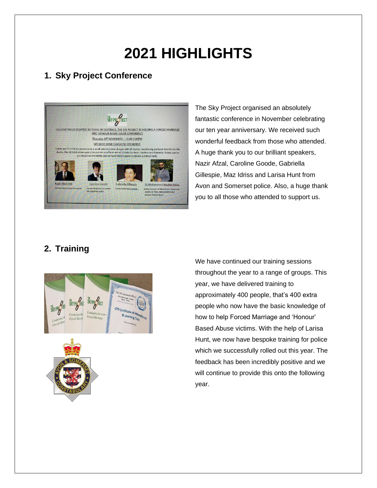# **2021 HIGHLIGHTS**

## **1. Sky Project Conference**



The Sky Project organised an absolutely fantastic conference in November celebrating our ten year anniversary. We received such wonderful feedback from those who attended. A huge thank you to our brilliant speakers, Nazir Afzal, Caroline Goode, Gabriella Gillespie, Maz Idriss and Larisa Hunt from Avon and Somerset police. Also, a huge thank you to all those who attended to support us.

## **2. Training**



We have continued our training sessions throughout the year to a range of groups. This year, we have delivered training to approximately 400 people, that's 400 extra people who now have the basic knowledge of how to help Forced Marriage and 'Honour' Based Abuse victims. With the help of Larisa Hunt, we now have bespoke training for police which we successfully rolled out this year. The feedback has been incredibly positive and we will continue to provide this onto the following year.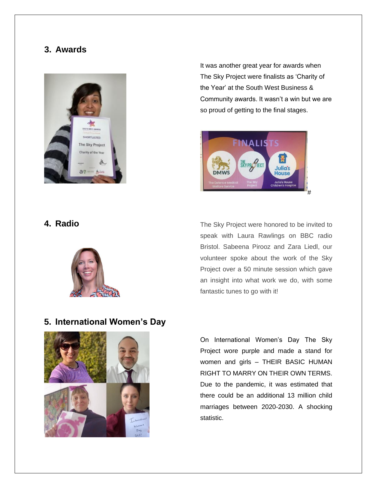#### **3. Awards**



It was another great year for awards when The Sky Project were finalists as 'Charity of the Year' at the South West Business & Community awards. It wasn't a win but we are so proud of getting to the final stages.



#### **4. Radio**



The Sky Project were honored to be invited to speak with Laura Rawlings on BBC radio Bristol. Sabeena Pirooz and Zara Liedl, our volunteer spoke about the work of the Sky Project over a 50 minute session which gave an insight into what work we do, with some fantastic tunes to go with it!

#### **5. International Women's Day**



On International Women's Day The Sky Project wore purple and made a stand for women and girls – THEIR BASIC HUMAN RIGHT TO MARRY ON THEIR OWN TERMS. Due to the pandemic, it was estimated that there could be an additional 13 million child marriages between 2020-2030. A shocking statistic.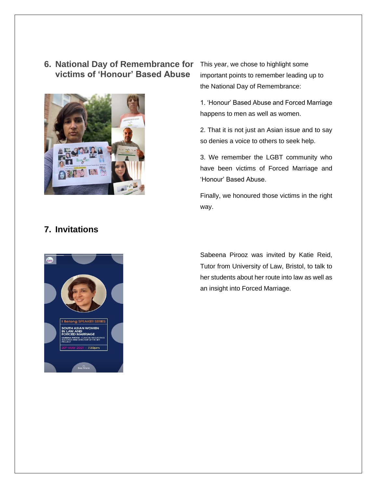#### **6. National Day of Remembrance for victims of 'Honour' Based Abuse**



This year, we chose to highlight some important points to remember leading up to the National Day of Remembrance:

1. 'Honour' Based Abuse and Forced Marriage happens to men as well as women.

2. That it is not just an Asian issue and to say so denies a voice to others to seek help.

3. We remember the LGBT community who have been victims of Forced Marriage and 'Honour' Based Abuse.

Finally, we honoured those victims in the right way.

### **7. Invitations**



Sabeena Pirooz was invited by Katie Reid, Tutor from University of Law, Bristol, to talk to her students about her route into law as well as an insight into Forced Marriage.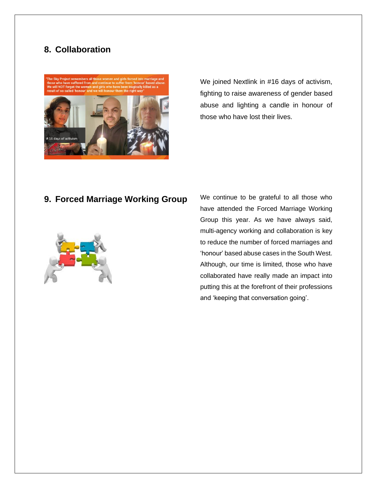## **8. Collaboration**

#16 days of activis



We joined Nextlink in #16 days of activism, fighting to raise awareness of gender based abuse and lighting a candle in honour of those who have lost their lives.

### **9. Forced Marriage Working Group**



We continue to be grateful to all those who have attended the Forced Marriage Working Group this year. As we have always said, multi-agency working and collaboration is key to reduce the number of forced marriages and 'honour' based abuse cases in the South West. Although, our time is limited, those who have collaborated have really made an impact into putting this at the forefront of their professions and 'keeping that conversation going'.